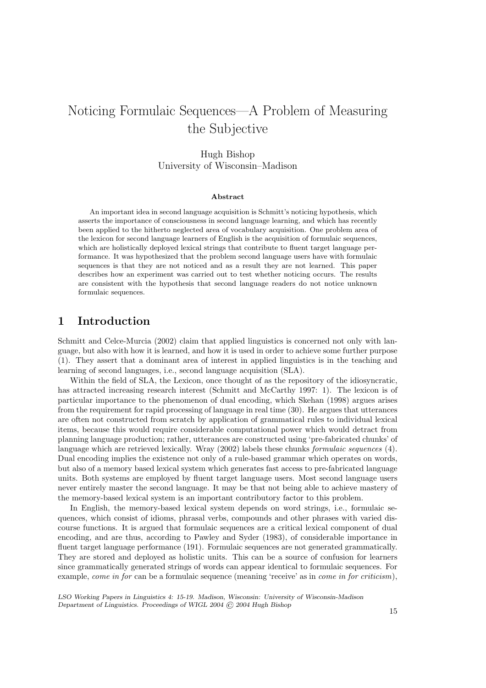# Noticing Formulaic Sequences—A Problem of Measuring the Subjective

### Hugh Bishop University of Wisconsin–Madison

#### Abstract

An important idea in second language acquisition is Schmitt's noticing hypothesis, which asserts the importance of consciousness in second language learning, and which has recently been applied to the hitherto neglected area of vocabulary acquisition. One problem area of the lexicon for second language learners of English is the acquisition of formulaic sequences, which are holistically deployed lexical strings that contribute to fluent target language performance. It was hypothesized that the problem second language users have with formulaic sequences is that they are not noticed and as a result they are not learned. This paper describes how an experiment was carried out to test whether noticing occurs. The results are consistent with the hypothesis that second language readers do not notice unknown formulaic sequences.

# 1 Introduction

Schmitt and Celce-Murcia (2002) claim that applied linguistics is concerned not only with language, but also with how it is learned, and how it is used in order to achieve some further purpose (1). They assert that a dominant area of interest in applied linguistics is in the teaching and learning of second languages, i.e., second language acquisition (SLA).

Within the field of SLA, the Lexicon, once thought of as the repository of the idiosyncratic, has attracted increasing research interest (Schmitt and McCarthy 1997: 1). The lexicon is of particular importance to the phenomenon of dual encoding, which Skehan (1998) argues arises from the requirement for rapid processing of language in real time (30). He argues that utterances are often not constructed from scratch by application of grammatical rules to individual lexical items, because this would require considerable computational power which would detract from planning language production; rather, utterances are constructed using 'pre-fabricated chunks' of language which are retrieved lexically. Wray (2002) labels these chunks formulaic sequences (4). Dual encoding implies the existence not only of a rule-based grammar which operates on words, but also of a memory based lexical system which generates fast access to pre-fabricated language units. Both systems are employed by fluent target language users. Most second language users never entirely master the second language. It may be that not being able to achieve mastery of the memory-based lexical system is an important contributory factor to this problem.

In English, the memory-based lexical system depends on word strings, i.e., formulaic sequences, which consist of idioms, phrasal verbs, compounds and other phrases with varied discourse functions. It is argued that formulaic sequences are a critical lexical component of dual encoding, and are thus, according to Pawley and Syder (1983), of considerable importance in fluent target language performance (191). Formulaic sequences are not generated grammatically. They are stored and deployed as holistic units. This can be a source of confusion for learners since grammatically generated strings of words can appear identical to formulaic sequences. For example, *come in for* can be a formulaic sequence (meaning 'receive' as in *come in for criticism*),

LSO Working Papers in Linguistics 4: 15-19. Madison, Wisconsin: University of Wisconsin-Madison Department of Linguistics. Proceedings of WIGL 2004 © 2004 Hugh Bishop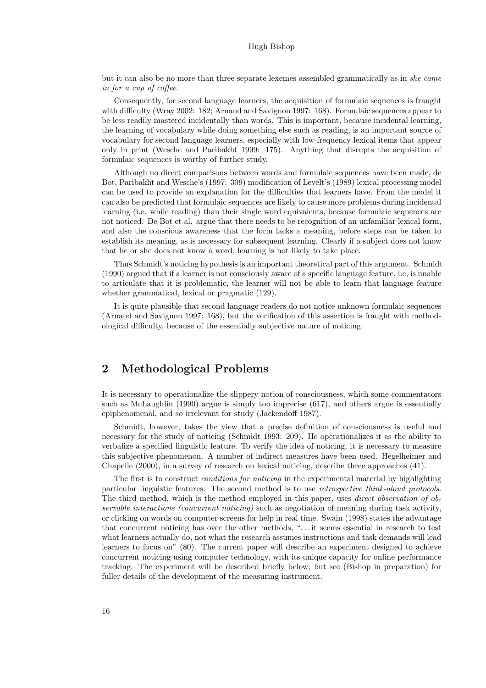#### Hugh Bishop

but it can also be no more than three separate lexemes assembled grammatically as in she came in for a cup of coffee.

Consequently, for second language learners, the acquisition of formulaic sequences is fraught with difficulty (Wray 2002: 182; Arnaud and Savignon 1997: 168). Formulaic sequences appear to be less readily mastered incidentally than words. This is important, because incidental learning, the learning of vocabulary while doing something else such as reading, is an important source of vocabulary for second language learners, especially with low-frequency lexical items that appear only in print (Wesche and Paribakht 1999: 175). Anything that disrupts the acquisition of formulaic sequences is worthy of further study.

Although no direct comparisons between words and formulaic sequences have been made, de Bot, Paribakht and Wesche's (1997: 309) modification of Levelt's (1989) lexical processing model can be used to provide an explanation for the difficulties that learners have. From the model it can also be predicted that formulaic sequences are likely to cause more problems during incidental learning (i.e. while reading) than their single word equivalents, because formulaic sequences are not noticed. De Bot et al. argue that there needs to be recognition of an unfamiliar lexical form, and also the conscious awareness that the form lacks a meaning, before steps can be taken to establish its meaning, as is necessary for subsequent learning. Clearly if a subject does not know that he or she does not know a word, learning is not likely to take place.

Thus Schmidt's noticing hypothesis is an important theoretical part of this argument. Schmidt (1990) argued that if a learner is not consciously aware of a specific language feature, i.e, is unable to articulate that it is problematic, the learner will not be able to learn that language feature whether grammatical, lexical or pragmatic (129).

It is quite plausible that second language readers do not notice unknown formulaic sequences (Arnaud and Savignon 1997: 168), but the verification of this assertion is fraught with methodological difficulty, because of the essentially subjective nature of noticing.

# 2 Methodological Problems

It is necessary to operationalize the slippery notion of consciousness, which some commentators such as McLaughlin (1990) argue is simply too imprecise (617), and others argue is essentially epiphenomenal, and so irrelevant for study (Jackendoff 1987).

Schmidt, however, takes the view that a precise definition of consciousness is useful and necessary for the study of noticing (Schmidt 1993: 209). He operationalizes it as the ability to verbalize a specified linguistic feature. To verify the idea of noticing, it is necessary to measure this subjective phenomenon. A number of indirect measures have been used. Hegelheimer and Chapelle (2000), in a survey of research on lexical noticing, describe three approaches (41).

The first is to construct *conditions for noticing* in the experimental material by highlighting particular linguistic features. The second method is to use *retrospective think-aloud protocols*. The third method, which is the method employed in this paper, uses *direct observation of ob*servable interactions (concurrent noticing) such as negotiation of meaning during task activity, or clicking on words on computer screens for help in real time. Swain (1998) states the advantage that concurrent noticing has over the other methods, ". . . it seems essential in research to test what learners actually do, not what the research assumes instructions and task demands will lead learners to focus on" (80). The current paper will describe an experiment designed to achieve concurrent noticing using computer technology, with its unique capacity for online performance tracking. The experiment will be described briefly below, but see (Bishop in preparation) for fuller details of the development of the measuring instrument.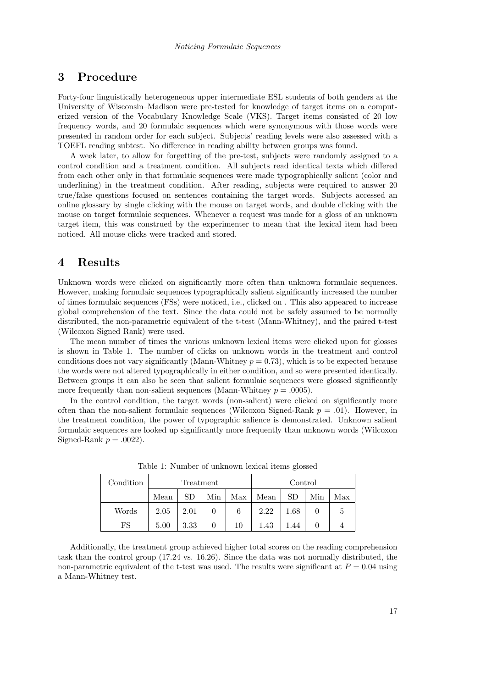# 3 Procedure

Forty-four linguistically heterogeneous upper intermediate ESL students of both genders at the University of Wisconsin–Madison were pre-tested for knowledge of target items on a computerized version of the Vocabulary Knowledge Scale (VKS). Target items consisted of 20 low frequency words, and 20 formulaic sequences which were synonymous with those words were presented in random order for each subject. Subjects' reading levels were also assessed with a TOEFL reading subtest. No difference in reading ability between groups was found.

A week later, to allow for forgetting of the pre-test, subjects were randomly assigned to a control condition and a treatment condition. All subjects read identical texts which differed from each other only in that formulaic sequences were made typographically salient (color and underlining) in the treatment condition. After reading, subjects were required to answer 20 true/false questions focused on sentences containing the target words. Subjects accessed an online glossary by single clicking with the mouse on target words, and double clicking with the mouse on target formulaic sequences. Whenever a request was made for a gloss of an unknown target item, this was construed by the experimenter to mean that the lexical item had been noticed. All mouse clicks were tracked and stored.

# 4 Results

Unknown words were clicked on significantly more often than unknown formulaic sequences. However, making formulaic sequences typographically salient significantly increased the number of times formulaic sequences (FSs) were noticed, i.e., clicked on . This also appeared to increase global comprehension of the text. Since the data could not be safely assumed to be normally distributed, the non-parametric equivalent of the t-test (Mann-Whitney), and the paired t-test (Wilcoxon Signed Rank) were used.

The mean number of times the various unknown lexical items were clicked upon for glosses is shown in Table 1. The number of clicks on unknown words in the treatment and control conditions does not vary significantly (Mann-Whitney  $p = 0.73$ ), which is to be expected because the words were not altered typographically in either condition, and so were presented identically. Between groups it can also be seen that salient formulaic sequences were glossed significantly more frequently than non-salient sequences (Mann-Whitney  $p = .0005$ ).

In the control condition, the target words (non-salient) were clicked on significantly more often than the non-salient formulaic sequences (Wilcoxon Signed-Rank  $p = .01$ ). However, in the treatment condition, the power of typographic salience is demonstrated. Unknown salient formulaic sequences are looked up significantly more frequently than unknown words (Wilcoxon Signed-Rank  $p = .0022$ ).

| Condition | Treatment |      |     |     | Control |           |     |     |
|-----------|-----------|------|-----|-----|---------|-----------|-----|-----|
|           | Mean      |      | Min | Max | Mean    | <b>SD</b> | Min | Max |
| Words     | 2.05      | 2.01 |     | 6   | 2.22    | $1.68\,$  |     | 5   |
| FS        | 5.00      | 3.33 |     | 10  | 1.43    | 1.44      |     |     |

Table 1: Number of unknown lexical items glossed

Additionally, the treatment group achieved higher total scores on the reading comprehension task than the control group (17.24 vs. 16.26). Since the data was not normally distributed, the non-parametric equivalent of the t-test was used. The results were significant at  $P = 0.04$  using a Mann-Whitney test.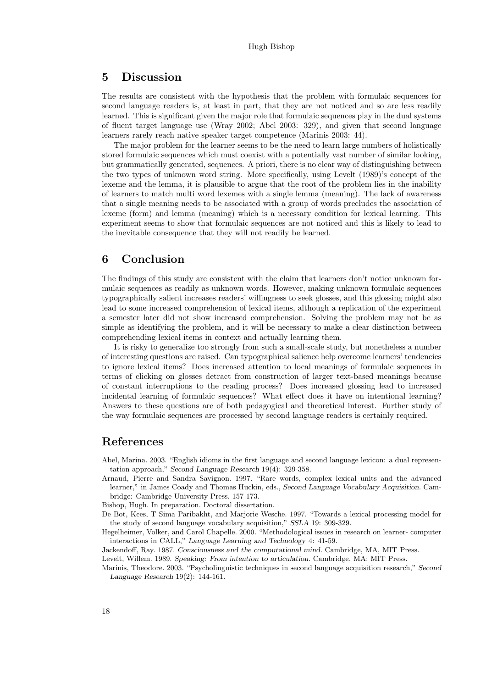## 5 Discussion

The results are consistent with the hypothesis that the problem with formulaic sequences for second language readers is, at least in part, that they are not noticed and so are less readily learned. This is significant given the major role that formulaic sequences play in the dual systems of fluent target language use (Wray 2002; Abel 2003: 329), and given that second language learners rarely reach native speaker target competence (Marinis 2003: 44).

The major problem for the learner seems to be the need to learn large numbers of holistically stored formulaic sequences which must coexist with a potentially vast number of similar looking, but grammatically generated, sequences. A priori, there is no clear way of distinguishing between the two types of unknown word string. More specifically, using Levelt (1989)'s concept of the lexeme and the lemma, it is plausible to argue that the root of the problem lies in the inability of learners to match multi word lexemes with a single lemma (meaning). The lack of awareness that a single meaning needs to be associated with a group of words precludes the association of lexeme (form) and lemma (meaning) which is a necessary condition for lexical learning. This experiment seems to show that formulaic sequences are not noticed and this is likely to lead to the inevitable consequence that they will not readily be learned.

### 6 Conclusion

The findings of this study are consistent with the claim that learners don't notice unknown formulaic sequences as readily as unknown words. However, making unknown formulaic sequences typographically salient increases readers' willingness to seek glosses, and this glossing might also lead to some increased comprehension of lexical items, although a replication of the experiment a semester later did not show increased comprehension. Solving the problem may not be as simple as identifying the problem, and it will be necessary to make a clear distinction between comprehending lexical items in context and actually learning them.

It is risky to generalize too strongly from such a small-scale study, but nonetheless a number of interesting questions are raised. Can typographical salience help overcome learners' tendencies to ignore lexical items? Does increased attention to local meanings of formulaic sequences in terms of clicking on glosses detract from construction of larger text-based meanings because of constant interruptions to the reading process? Does increased glossing lead to increased incidental learning of formulaic sequences? What effect does it have on intentional learning? Answers to these questions are of both pedagogical and theoretical interest. Further study of the way formulaic sequences are processed by second language readers is certainly required.

### References

Abel, Marina. 2003. "English idioms in the first language and second language lexicon: a dual representation approach," Second Language Research 19(4): 329-358.

Arnaud, Pierre and Sandra Savignon. 1997. "Rare words, complex lexical units and the advanced learner," in James Coady and Thomas Huckin, eds., Second Language Vocabulary Acquisition. Cambridge: Cambridge University Press. 157-173.

Bishop, Hugh. In preparation. Doctoral dissertation.

- De Bot, Kees, T Sima Paribakht, and Marjorie Wesche. 1997. "Towards a lexical processing model for the study of second language vocabulary acquisition," SSLA 19: 309-329.
- Hegelheimer, Volker, and Carol Chapelle. 2000. "Methodological issues in research on learner- computer interactions in CALL," Language Learning and Technology 4: 41-59.

Jackendoff, Ray. 1987. Consciousness and the computational mind. Cambridge, MA, MIT Press.

Levelt, Willem. 1989. Speaking: From intention to articulation. Cambridge, MA: MIT Press.

Marinis, Theodore. 2003. "Psycholinguistic techniques in second language acquisition research," Second Language Research 19(2): 144-161.